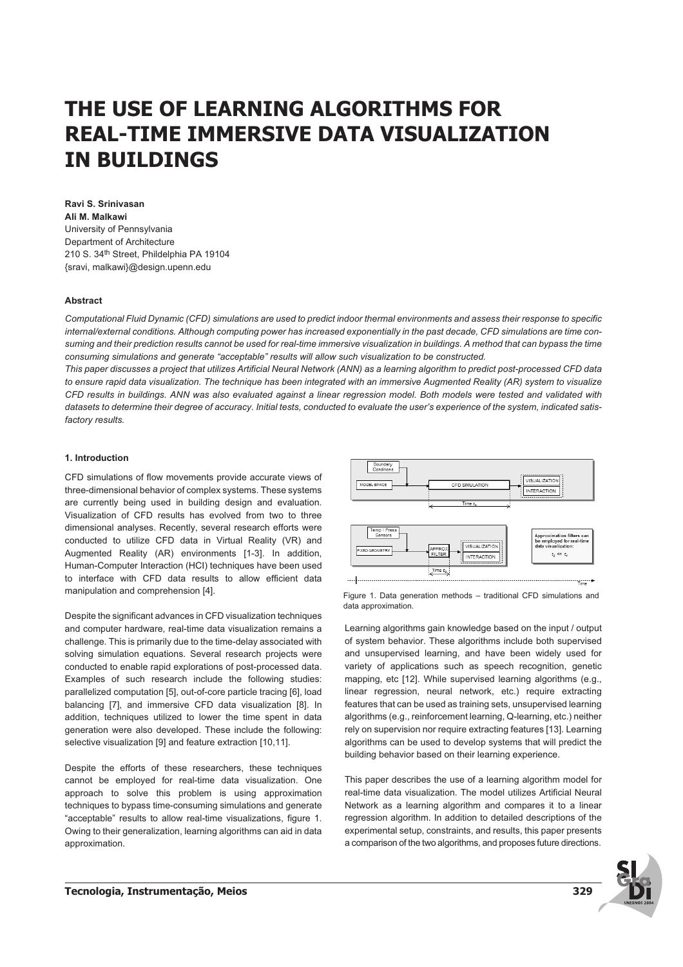# **THE USE OF LEARNING ALGORITHMS FOR REAL-TIME IMMERSIVE DATA VISUALIZATION IN BUILDINGS**

**Ravi S. Srinivasan Ali M. Malkawi** University of Pennsylvania Department of Architecture 210 S. 34<sup>th</sup> Street, Phildelphia PA 19104 {sravi, malkawi}@design.upenn.edu

# **Abstract**

*Computational Fluid Dynamic (CFD) simulations are used to predict indoor thermal environments and assess their response to specific internal/external conditions. Although computing power has increased exponentially in the past decade, CFD simulations are time consuming and their prediction results cannot be used for real-time immersive visualization in buildings. A method that can bypass the time consuming simulations and generate "acceptable" results will allow such visualization to be constructed.*

*This paper discusses a project that utilizes Artificial Neural Network (ANN) as a learning algorithm to predict post-processed CFD data to ensure rapid data visualization. The technique has been integrated with an immersive Augmented Reality (AR) system to visualize CFD results in buildings. ANN was also evaluated against a linear regression model. Both models were tested and validated with datasets to determine their degree of accuracy. Initial tests, conducted to evaluate the user's experience of the system, indicated satisfactory results.*

# **1. Introduction**

CFD simulations of flow movements provide accurate views of three-dimensional behavior of complex systems. These systems are currently being used in building design and evaluation. Visualization of CFD results has evolved from two to three dimensional analyses. Recently, several research efforts were conducted to utilize CFD data in Virtual Reality (VR) and Augmented Reality (AR) environments [1-3]. In addition, Human-Computer Interaction (HCI) techniques have been used to interface with CFD data results to allow efficient data manipulation and comprehension [4].

Despite the significant advances in CFD visualization techniques and computer hardware, real-time data visualization remains a challenge. This is primarily due to the time-delay associated with solving simulation equations. Several research projects were conducted to enable rapid explorations of post-processed data. Examples of such research include the following studies: parallelized computation [5], out-of-core particle tracing [6], load balancing [7], and immersive CFD data visualization [8]. In addition, techniques utilized to lower the time spent in data generation were also developed. These include the following: selective visualization [9] and feature extraction [10,11].

Despite the efforts of these researchers, these techniques cannot be employed for real-time data visualization. One approach to solve this problem is using approximation techniques to bypass time-consuming simulations and generate "acceptable" results to allow real-time visualizations, figure 1. Owing to their generalization, learning algorithms can aid in data approximation.



Figure 1. Data generation methods – traditional CFD simulations and data approximation.

Learning algorithms gain knowledge based on the input / output of system behavior. These algorithms include both supervised and unsupervised learning, and have been widely used for variety of applications such as speech recognition, genetic mapping, etc [12]. While supervised learning algorithms (e.g., linear regression, neural network, etc.) require extracting features that can be used as training sets, unsupervised learning algorithms (e.g., reinforcement learning, Q-learning, etc.) neither rely on supervision nor require extracting features [13]. Learning algorithms can be used to develop systems that will predict the building behavior based on their learning experience.

This paper describes the use of a learning algorithm model for real-time data visualization. The model utilizes Artificial Neural Network as a learning algorithm and compares it to a linear regression algorithm. In addition to detailed descriptions of the experimental setup, constraints, and results, this paper presents a comparison of the two algorithms, and proposes future directions.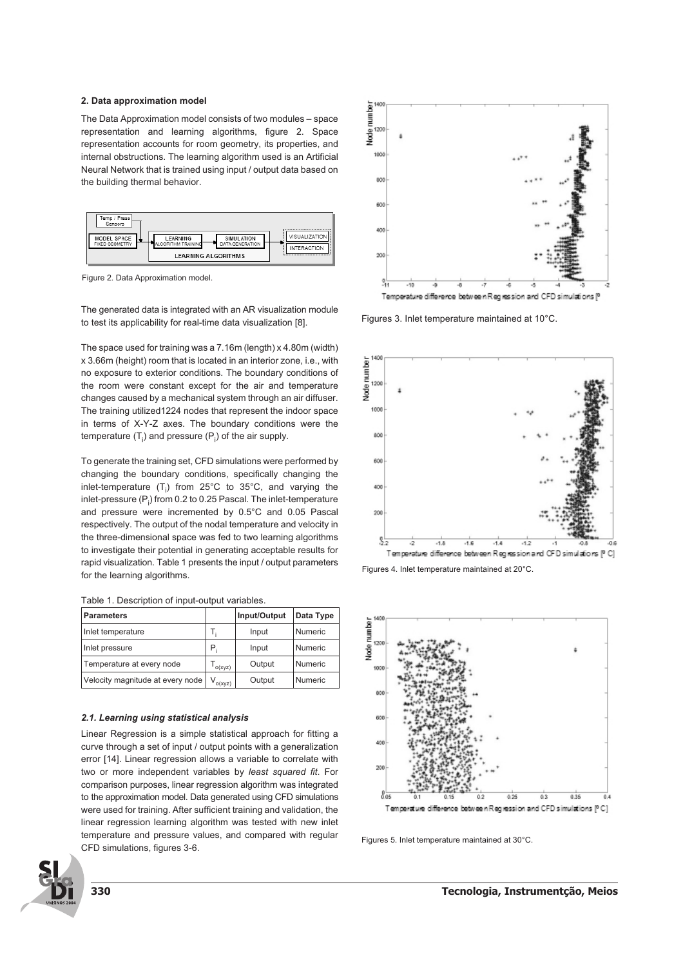## **2. Data approximation model**

The Data Approximation model consists of two modules – space representation and learning algorithms, figure 2. Space representation accounts for room geometry, its properties, and internal obstructions. The learning algorithm used is an Artificial Neural Network that is trained using input / output data based on the building thermal behavior.



Figure 2. Data Approximation model.

The generated data is integrated with an AR visualization module to test its applicability for real-time data visualization [8].

The space used for training was a 7.16m (length) x 4.80m (width) x 3.66m (height) room that is located in an interior zone, i.e., with no exposure to exterior conditions. The boundary conditions of the room were constant except for the air and temperature changes caused by a mechanical system through an air diffuser. The training utilized1224 nodes that represent the indoor space in terms of X-Y-Z axes. The boundary conditions were the temperature  $(T_i)$  and pressure  $(P_i)$  of the air supply.

To generate the training set, CFD simulations were performed by changing the boundary conditions, specifically changing the inlet-temperature  $(T_i)$  from 25°C to 35°C, and varying the inlet-pressure (P $_{\mathsf{j}}$ ) from 0.2 to 0.25 Pascal. The inlet-temperature and pressure were incremented by 0.5°C and 0.05 Pascal respectively. The output of the nodal temperature and velocity in the three-dimensional space was fed to two learning algorithms to investigate their potential in generating acceptable results for rapid visualization. Table 1 presents the input / output parameters for the learning algorithms.

| Table 1. Description of input-output variables. |
|-------------------------------------------------|
|-------------------------------------------------|

| <b>Parameters</b>                |              | Input/Output | Data Type |
|----------------------------------|--------------|--------------|-----------|
| Inlet temperature                | Ι.           | Input        | Numeric   |
| Inlet pressure                   | Ρ.           | Input        | Numeric   |
| Temperature at every node        | o(xyz)       | Output       | Numeric   |
| Velocity magnitude at every node | $V_{o(xyz)}$ | Output       | Numeric   |

#### **2.1. Learning using statistical analysis**

Linear Regression is a simple statistical approach for fitting a curve through a set of input / output points with a generalization error [14]. Linear regression allows a variable to correlate with two or more independent variables by *least squared fit*. For comparison purposes, linear regression algorithm was integrated to the approximation model. Data generated using CFD simulations were used for training. After sufficient training and validation, the linear regression learning algorithm was tested with new inlet temperature and pressure values, and compared with regular CFD simulations, figures 3-6.







Figures 3. Inlet temperature maintained at 10°C.



Figures 4. Inlet temperature maintained at 20°C.



Temperature difference between Regression and CFD simulations [°C]

Figures 5. Inlet temperature maintained at 30°C.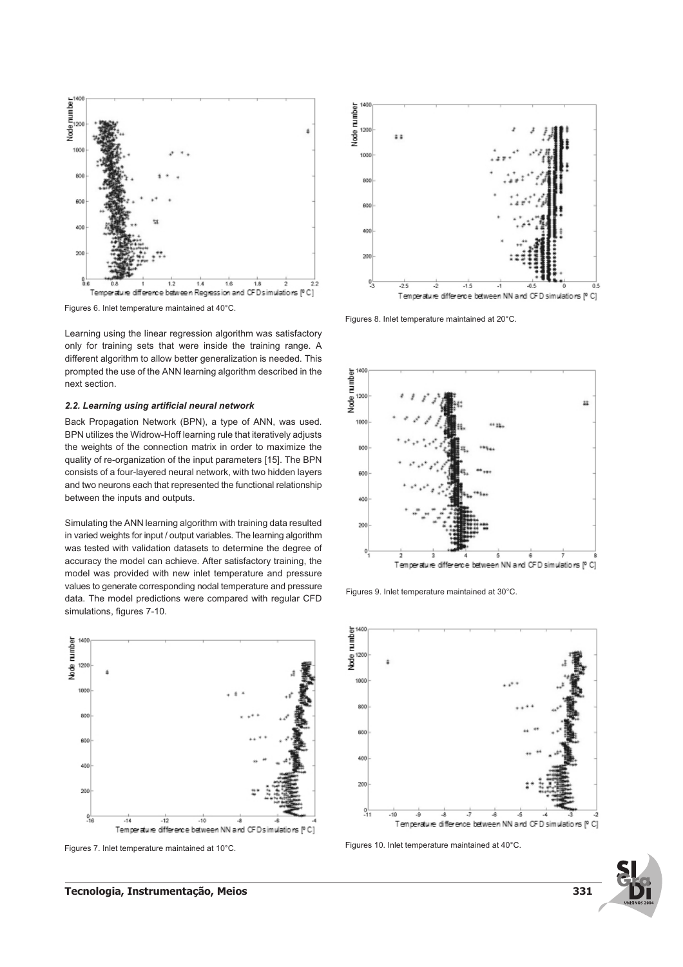

Figures 6. Inlet temperature maintained at 40°C.

Learning using the linear regression algorithm was satisfactory only for training sets that were inside the training range. A different algorithm to allow better generalization is needed. This prompted the use of the ANN learning algorithm described in the next section.

## **2.2. Learning using artificial neural network**

Back Propagation Network (BPN), a type of ANN, was used. BPN utilizes the Widrow-Hoff learning rule that iteratively adjusts the weights of the connection matrix in order to maximize the quality of re-organization of the input parameters [15]. The BPN consists of a four-layered neural network, with two hidden layers and two neurons each that represented the functional relationship between the inputs and outputs.

Simulating the ANN learning algorithm with training data resulted in varied weights for input / output variables. The learning algorithm was tested with validation datasets to determine the degree of accuracy the model can achieve. After satisfactory training, the model was provided with new inlet temperature and pressure values to generate corresponding nodal temperature and pressure data. The model predictions were compared with regular CFD simulations, figures 7-10.



Figures 7. Inlet temperature maintained at 10°C.



Figures 8. Inlet temperature maintained at 20°C.



Figures 9. Inlet temperature maintained at 30°C.



Figures 10. Inlet temperature maintained at 40°C.